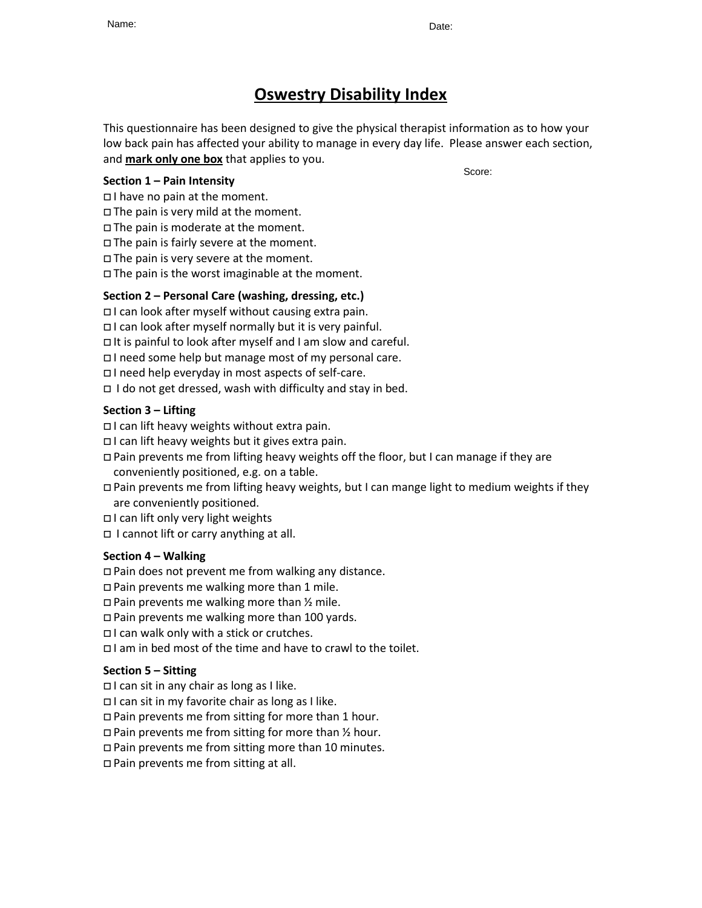# **Oswestry Disability Index**

This questionnaire has been designed to give the physical therapist information as to how your low back pain has affected your ability to manage in every day life. Please answer each section, and **mark only one box** that applies to you.

## **Section 1 – Pain Intensity**

I have no pain at the moment.

 $\Box$  The pain is very mild at the moment.

 $\Box$  The pain is moderate at the moment.

The pain is fairly severe at the moment.

 $\Box$  The pain is very severe at the moment.

 $\Box$  The pain is the worst imaginable at the moment.

# **Section 2 – Personal Care (washing, dressing, etc.)**

 $\Box$  I can look after myself without causing extra pain.

 $\Box$  I can look after myself normally but it is very painful.

 $\Box$  It is painful to look after myself and I am slow and careful.

I need some help but manage most of my personal care.

I need help everyday in most aspects of self-care.

 $\Box$  I do not get dressed, wash with difficulty and stay in bed.

# **Section 3 – Lifting**

 $\Box$  I can lift heavy weights without extra pain.

 $\Box$  I can lift heavy weights but it gives extra pain.

 Pain prevents me from lifting heavy weights off the floor, but I can manage if they are conveniently positioned, e.g. on a table.

 Pain prevents me from lifting heavy weights, but I can mange light to medium weights if they are conveniently positioned.

 $\Box$  I can lift only very light weights

 $\Box$  I cannot lift or carry anything at all.

## **Section 4 – Walking**

Pain does not prevent me from walking any distance.

 $\Box$  Pain prevents me walking more than 1 mile.

 $\Box$  Pain prevents me walking more than  $\frac{1}{2}$  mile.

□ Pain prevents me walking more than 100 yards.

 $\Box$  I can walk only with a stick or crutches.

I am in bed most of the time and have to crawl to the toilet.

## **Section 5 – Sitting**

 $\Box$  I can sit in any chair as long as I like.

 $\Box$  I can sit in my favorite chair as long as I like.

Pain prevents me from sitting for more than 1 hour.

 $\Box$  Pain prevents me from sitting for more than  $\frac{1}{2}$  hour.

Pain prevents me from sitting more than 10 minutes.

□ Pain prevents me from sitting at all.

Score: